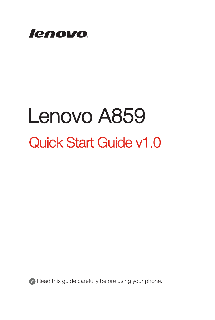

# Lenovo A859 Quick Start Guide v1.0



Read this guide carefully before using your phone.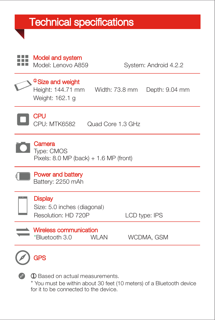## Technical specifications

**Model and system** 

| Model: Lenovo A859                                                   |       | System: Android 4.2.2 |  |
|----------------------------------------------------------------------|-------|-----------------------|--|
| <sup>®</sup> Size and weight<br>Weight: 162.1 g                      |       | Depth: 9.04 mm        |  |
| <b>CPU</b><br>CPU: MTK6582 Quad Core 1.3 GHz                         |       |                       |  |
| Camera<br>Type: CMOS<br>Pixels: $8.0$ MP (back) $+1.6$ MP (front)    |       |                       |  |
| Power and battery<br>Battery: 2250 mAh                               |       |                       |  |
| <b>Display</b><br>Size: 5.0 inches (diagonal)<br>Resolution: HD 720P |       | LCD type: IPS         |  |
| <b>Wireless communication</b><br>*Bluetooth 3.0                      | WI AN | WCDMA, GSM            |  |
| 3PS                                                                  |       |                       |  |

① Based on actual measurements.

\* You must be within about 30 feet (10 meters) of a Bluetooth device for it to be connected to the device.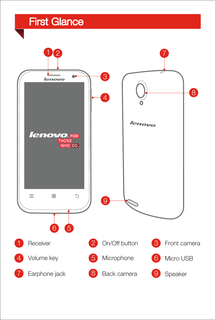### First Glance

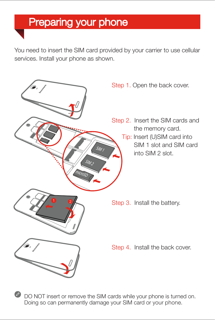## **Preparing your phone**

You need to insert the SIM card provided by your carrier to use cellular services. Install your phone as shown.



 $\bullet$  DO NOT insert or remove the SIM cards while your phone is turned on. Doing so can permanently damage your SIM card or your phone.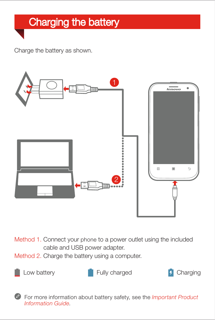Charge the battery as shown.



Method 1. Connect your phone to a power outlet using the included cable and USB power adapter. Method 2. Charge the battery using a computer.







For more information about battery safety, see the *Important Product Information Guide*.